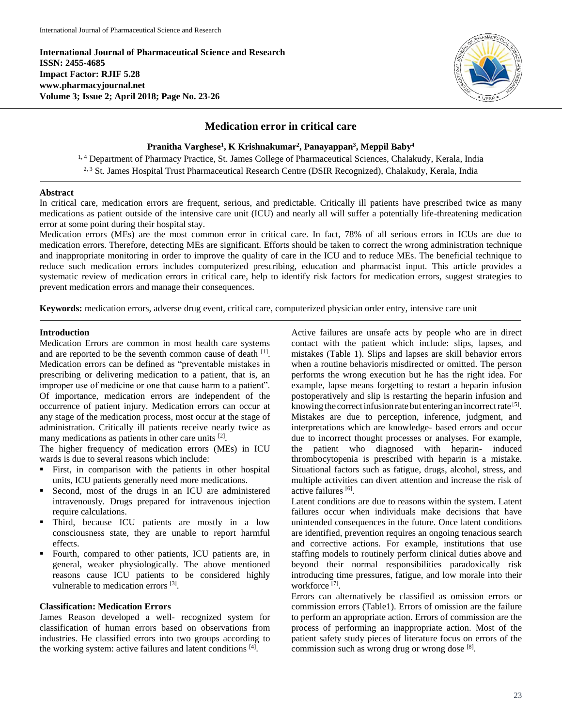**International Journal of Pharmaceutical Science and Research ISSN: 2455-4685 Impact Factor: RJIF 5.28 www.pharmacyjournal.net Volume 3; Issue 2; April 2018; Page No. 23-26**



# **Medication error in critical care**

**Pranitha Varghese<sup>1</sup> , K Krishnakumar<sup>2</sup> , Panayappan 3 , Meppil Baby<sup>4</sup>**

<sup>1, 4</sup> Department of Pharmacy Practice, St. James College of Pharmaceutical Sciences, Chalakudy, Kerala, India <sup>2, 3</sup> St. James Hospital Trust Pharmaceutical Research Centre (DSIR Recognized), Chalakudy, Kerala, India

## **Abstract**

In critical care, medication errors are frequent, serious, and predictable. Critically ill patients have prescribed twice as many medications as patient outside of the intensive care unit (ICU) and nearly all will suffer a potentially life-threatening medication error at some point during their hospital stay.

Medication errors (MEs) are the most common error in critical care. In fact, 78% of all serious errors in ICUs are due to medication errors. Therefore, detecting MEs are significant. Efforts should be taken to correct the wrong administration technique and inappropriate monitoring in order to improve the quality of care in the ICU and to reduce MEs. The beneficial technique to reduce such medication errors includes computerized prescribing, education and pharmacist input. This article provides a systematic review of medication errors in critical care, help to identify risk factors for medication errors, suggest strategies to prevent medication errors and manage their consequences.

**Keywords:** medication errors, adverse drug event, critical care, computerized physician order entry, intensive care unit

# **Introduction**

Medication Errors are common in most health care systems and are reported to be the seventh common cause of death [1]. Medication errors can be defined as "preventable mistakes in prescribing or delivering medication to a patient, that is, an improper use of medicine or one that cause harm to a patient". Of importance, medication errors are independent of the occurrence of patient injury. Medication errors can occur at any stage of the medication process, most occur at the stage of administration. Critically ill patients receive nearly twice as many medications as patients in other care units <sup>[2]</sup>.

The higher frequency of medication errors (MEs) in ICU wards is due to several reasons which include:

- First, in comparison with the patients in other hospital units, ICU patients generally need more medications.
- Second, most of the drugs in an ICU are administered intravenously. Drugs prepared for intravenous injection require calculations.
- Third, because ICU patients are mostly in a low consciousness state, they are unable to report harmful effects.
- Fourth, compared to other patients, ICU patients are, in general, weaker physiologically. The above mentioned reasons cause ICU patients to be considered highly vulnerable to medication errors [3].

## **Classification: Medication Errors**

James Reason developed a well- recognized system for classification of human errors based on observations from industries. He classified errors into two groups according to the working system: active failures and latent conditions [4] .

Active failures are unsafe acts by people who are in direct contact with the patient which include: slips, lapses, and mistakes (Table 1). Slips and lapses are skill behavior errors when a routine behavioris misdirected or omitted. The person performs the wrong execution but he has the right idea. For example, lapse means forgetting to restart a heparin infusion postoperatively and slip is restarting the heparin infusion and knowing the correct infusion rate but entering an incorrect rate [5]. Mistakes are due to perception, inference, judgment, and interpretations which are knowledge- based errors and occur due to incorrect thought processes or analyses. For example, the patient who diagnosed with heparin- induced thrombocytopenia is prescribed with heparin is a mistake. Situational factors such as fatigue, drugs, alcohol, stress, and multiple activities can divert attention and increase the risk of active failures [6].

Latent conditions are due to reasons within the system. Latent failures occur when individuals make decisions that have unintended consequences in the future. Once latent conditions are identified, prevention requires an ongoing tenacious search and corrective actions. For example, institutions that use staffing models to routinely perform clinical duties above and beyond their normal responsibilities paradoxically risk introducing time pressures, fatigue, and low morale into their workforce [7] .

Errors can alternatively be classified as omission errors or commission errors (Table1). Errors of omission are the failure to perform an appropriate action. Errors of commission are the process of performing an inappropriate action. Most of the patient safety study pieces of literature focus on errors of the commission such as wrong drug or wrong dose [8].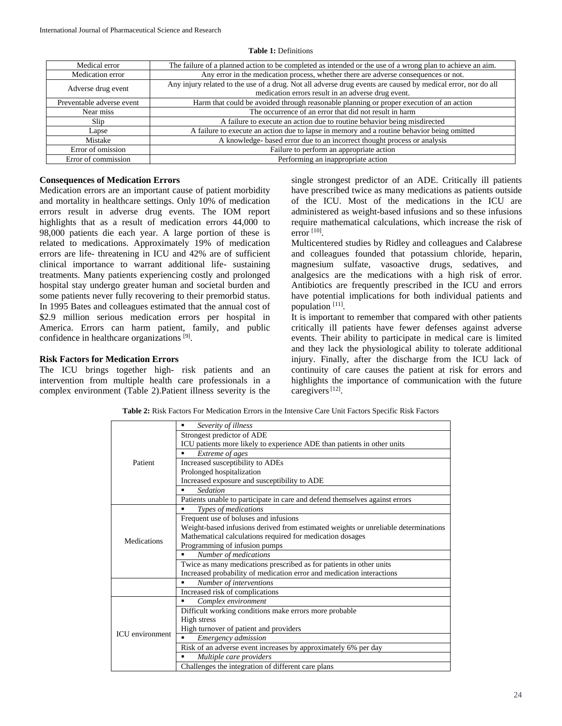| Medical error             | The failure of a planned action to be completed as intended or the use of a wrong plan to achieve an aim.    |
|---------------------------|--------------------------------------------------------------------------------------------------------------|
| Medication error          | Any error in the medication process, whether there are adverse consequences or not.                          |
| Adverse drug event        | Any injury related to the use of a drug. Not all adverse drug events are caused by medical error, nor do all |
|                           | medication errors result in an adverse drug event.                                                           |
| Preventable adverse event | Harm that could be avoided through reasonable planning or proper execution of an action                      |
| Near miss                 | The occurrence of an error that did not result in harm                                                       |
| Slip                      | A failure to execute an action due to routine behavior being misdirected                                     |
| Lapse                     | A failure to execute an action due to lapse in memory and a routine behavior being omitted                   |
| Mistake                   | A knowledge- based error due to an incorrect thought process or analysis                                     |
| Error of omission         | Failure to perform an appropriate action                                                                     |
| Error of commission       | Performing an inappropriate action                                                                           |

#### **Table 1:** Definitions

# **Consequences of Medication Errors**

Medication errors are an important cause of patient morbidity and mortality in healthcare settings. Only 10% of medication errors result in adverse drug events. The IOM report highlights that as a result of medication errors 44,000 to 98,000 patients die each year. A large portion of these is related to medications. Approximately 19% of medication errors are life- threatening in ICU and 42% are of sufficient clinical importance to warrant additional life- sustaining treatments. Many patients experiencing costly and prolonged hospital stay undergo greater human and societal burden and some patients never fully recovering to their premorbid status. In 1995 Bates and colleagues estimated that the annual cost of \$2.9 million serious medication errors per hospital in America. Errors can harm patient, family, and public confidence in healthcare organizations [9].

## **Risk Factors for Medication Errors**

The ICU brings together high- risk patients and an intervention from multiple health care professionals in a complex environment (Table 2).Patient illness severity is the

single strongest predictor of an ADE. Critically ill patients have prescribed twice as many medications as patients outside of the ICU. Most of the medications in the ICU are administered as weight-based infusions and so these infusions require mathematical calculations, which increase the risk of error [10] .

Multicentered studies by Ridley and colleagues and Calabrese and colleagues founded that potassium chloride, heparin, magnesium sulfate, vasoactive drugs, sedatives, and analgesics are the medications with a high risk of error. Antibiotics are frequently prescribed in the ICU and errors have potential implications for both individual patients and population [11].

It is important to remember that compared with other patients critically ill patients have fewer defenses against adverse events. Their ability to participate in medical care is limited and they lack the physiological ability to tolerate additional injury. Finally, after the discharge from the ICU lack of continuity of care causes the patient at risk for errors and highlights the importance of communication with the future caregivers<sup>[12]</sup>.

**Table 2:** Risk Factors For Medication Errors in the Intensive Care Unit Factors Specific Risk Factors

| Patient                | Severity of illness<br>٠                                                           |
|------------------------|------------------------------------------------------------------------------------|
|                        | Strongest predictor of ADE                                                         |
|                        | ICU patients more likely to experience ADE than patients in other units            |
|                        | Extreme of ages                                                                    |
|                        | Increased susceptibility to ADEs                                                   |
|                        | Prolonged hospitalization                                                          |
|                        | Increased exposure and susceptibility to ADE                                       |
|                        | Sedation<br>п                                                                      |
|                        | Patients unable to participate in care and defend themselves against errors        |
| Medications            | Types of medications<br>٠                                                          |
|                        | Frequent use of boluses and infusions                                              |
|                        | Weight-based infusions derived from estimated weights or unreliable determinations |
|                        | Mathematical calculations required for medication dosages                          |
|                        | Programming of infusion pumps                                                      |
|                        | Number of medications<br>٠                                                         |
|                        | Twice as many medications prescribed as for patients in other units                |
|                        | Increased probability of medication error and medication interactions              |
|                        | Number of interventions                                                            |
|                        | Increased risk of complications                                                    |
| <b>ICU</b> environment | Complex environment<br>٠                                                           |
|                        | Difficult working conditions make errors more probable                             |
|                        | High stress                                                                        |
|                        | High turnover of patient and providers                                             |
|                        | Emergency admission                                                                |
|                        | Risk of an adverse event increases by approximately 6% per day                     |
|                        | Multiple care providers                                                            |
|                        | Challenges the integration of different care plans                                 |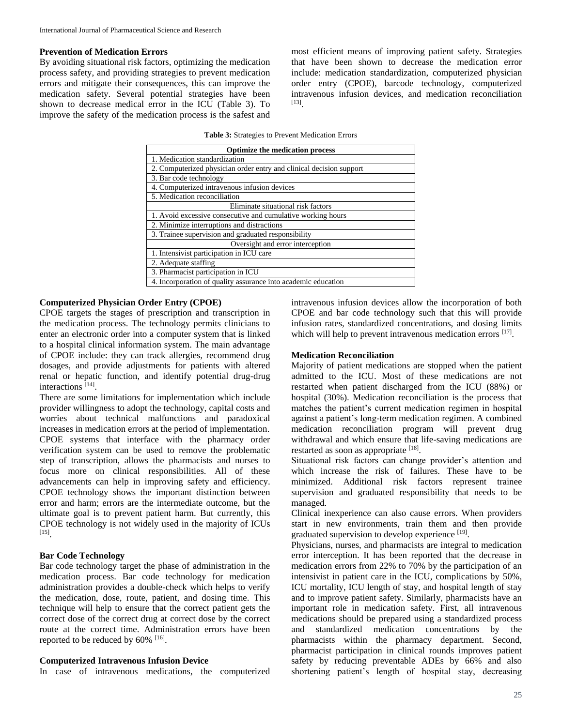## **Prevention of Medication Errors**

By avoiding situational risk factors, optimizing the medication process safety, and providing strategies to prevent medication errors and mitigate their consequences, this can improve the medication safety. Several potential strategies have been shown to decrease medical error in the ICU (Table 3). To improve the safety of the medication process is the safest and

most efficient means of improving patient safety. Strategies that have been shown to decrease the medication error include: medication standardization, computerized physician order entry (CPOE), barcode technology, computerized intravenous infusion devices, and medication reconciliation [13] .

**Table 3:** Strategies to Prevent Medication Errors

| Optimize the medication process                                     |  |  |
|---------------------------------------------------------------------|--|--|
| 1. Medication standardization                                       |  |  |
| 2. Computerized physician order entry and clinical decision support |  |  |
| 3. Bar code technology                                              |  |  |
| 4. Computerized intravenous infusion devices                        |  |  |
| 5. Medication reconciliation                                        |  |  |
| Eliminate situational risk factors                                  |  |  |
| 1. Avoid excessive consecutive and cumulative working hours         |  |  |
| 2. Minimize interruptions and distractions                          |  |  |
| 3. Trainee supervision and graduated responsibility                 |  |  |
| Oversight and error interception                                    |  |  |
| 1. Intensivist participation in ICU care                            |  |  |
| 2. Adequate staffing                                                |  |  |
| 3. Pharmacist participation in ICU                                  |  |  |
| 4. Incorporation of quality assurance into academic education       |  |  |

# **Computerized Physician Order Entry (CPOE)**

CPOE targets the stages of prescription and transcription in the medication process. The technology permits clinicians to enter an electronic order into a computer system that is linked to a hospital clinical information system. The main advantage of CPOE include: they can track allergies, recommend drug dosages, and provide adjustments for patients with altered renal or hepatic function, and identify potential drug-drug interactions [14] .

There are some limitations for implementation which include provider willingness to adopt the technology, capital costs and worries about technical malfunctions and paradoxical increases in medication errors at the period of implementation. CPOE systems that interface with the pharmacy order verification system can be used to remove the problematic step of transcription, allows the pharmacists and nurses to focus more on clinical responsibilities. All of these advancements can help in improving safety and efficiency. CPOE technology shows the important distinction between error and harm; errors are the intermediate outcome, but the ultimate goal is to prevent patient harm. But currently, this CPOE technology is not widely used in the majority of ICUs [15] .

#### **Bar Code Technology**

Bar code technology target the phase of administration in the medication process. Bar code technology for medication administration provides a double-check which helps to verify the medication, dose, route, patient, and dosing time. This technique will help to ensure that the correct patient gets the correct dose of the correct drug at correct dose by the correct route at the correct time. Administration errors have been reported to be reduced by 60% <sup>[16]</sup>.

## **Computerized Intravenous Infusion Device**

In case of intravenous medications, the computerized

intravenous infusion devices allow the incorporation of both CPOE and bar code technology such that this will provide infusion rates, standardized concentrations, and dosing limits which will help to prevent intravenous medication errors [17].

#### **Medication Reconciliation**

Majority of patient medications are stopped when the patient admitted to the ICU. Most of these medications are not restarted when patient discharged from the ICU (88%) or hospital (30%). Medication reconciliation is the process that matches the patient's current medication regimen in hospital against a patient's long-term medication regimen. A combined medication reconciliation program will prevent drug withdrawal and which ensure that life-saving medications are restarted as soon as appropriate [18].

Situational risk factors can change provider's attention and which increase the risk of failures. These have to be minimized. Additional risk factors represent trainee supervision and graduated responsibility that needs to be managed.

Clinical inexperience can also cause errors. When providers start in new environments, train them and then provide graduated supervision to develop experience [19].

Physicians, nurses, and pharmacists are integral to medication error interception. It has been reported that the decrease in medication errors from 22% to 70% by the participation of an intensivist in patient care in the ICU, complications by 50%, ICU mortality, ICU length of stay, and hospital length of stay and to improve patient safety. Similarly, pharmacists have an important role in medication safety. First, all intravenous medications should be prepared using a standardized process and standardized medication concentrations by the pharmacists within the pharmacy department. Second, pharmacist participation in clinical rounds improves patient safety by reducing preventable ADEs by 66% and also shortening patient's length of hospital stay, decreasing